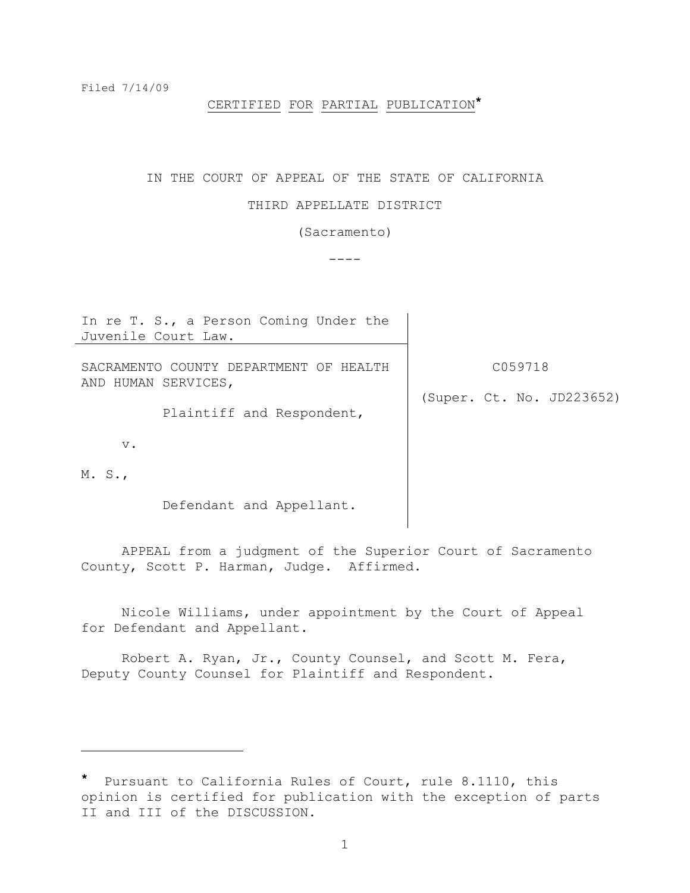i<br>L

## CERTIFIED FOR PARTIAL PUBLICATION**\***

#### IN THE COURT OF APPEAL OF THE STATE OF CALIFORNIA

### THIRD APPELLATE DISTRICT

(Sacramento)

 $----$ 

| In re T. S., a Person Coming Under the                                                     |                                      |
|--------------------------------------------------------------------------------------------|--------------------------------------|
| Juvenile Court Law.                                                                        |                                      |
| SACRAMENTO COUNTY DEPARTMENT OF HEALTH<br>AND HUMAN SERVICES,<br>Plaintiff and Respondent, | C059718<br>(Super. Ct. No. JD223652) |
| $V$ .<br>M. S.                                                                             |                                      |
| Defendant and Appellant.                                                                   |                                      |

APPEAL from a judgment of the Superior Court of Sacramento County, Scott P. Harman, Judge. Affirmed.

Nicole Williams, under appointment by the Court of Appeal for Defendant and Appellant.

Robert A. Ryan, Jr., County Counsel, and Scott M. Fera, Deputy County Counsel for Plaintiff and Respondent.

**<sup>\*</sup>** Pursuant to California Rules of Court, rule 8.1110, this opinion is certified for publication with the exception of parts II and III of the DISCUSSION.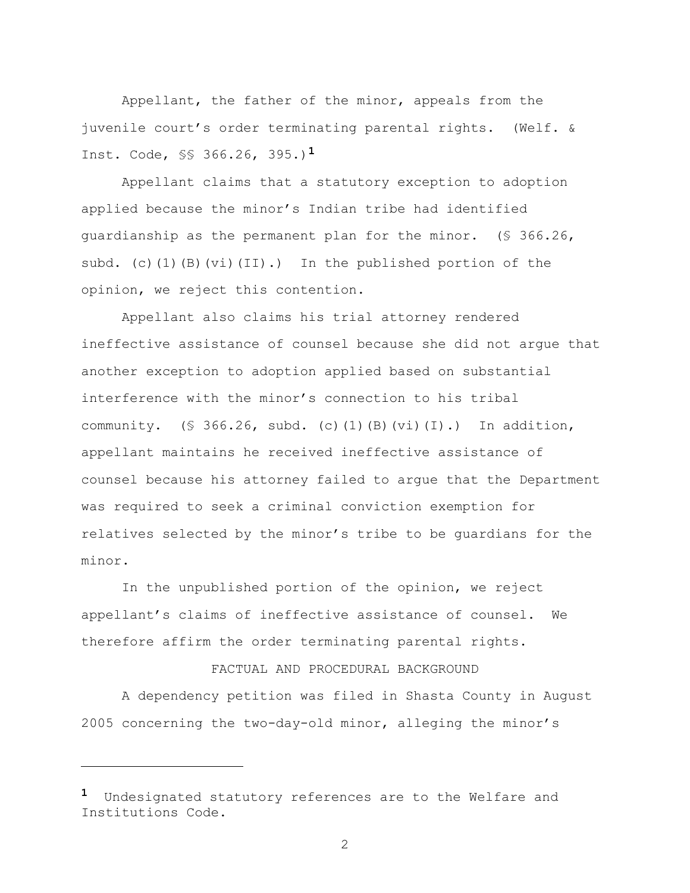Appellant, the father of the minor, appeals from the juvenile court"s order terminating parental rights. (Welf. & Inst. Code, §§ 366.26, 395.)**1**

Appellant claims that a statutory exception to adoption applied because the minor"s Indian tribe had identified guardianship as the permanent plan for the minor. (§ 366.26, subd. (c)(1)(B)(vi)(II).) In the published portion of the opinion, we reject this contention.

Appellant also claims his trial attorney rendered ineffective assistance of counsel because she did not argue that another exception to adoption applied based on substantial interference with the minor"s connection to his tribal community.  $(S \t366.26, subd. (c) (1) (B) (vi) (I).)$  In addition, appellant maintains he received ineffective assistance of counsel because his attorney failed to argue that the Department was required to seek a criminal conviction exemption for relatives selected by the minor's tribe to be quardians for the minor.

In the unpublished portion of the opinion, we reject appellant"s claims of ineffective assistance of counsel. We therefore affirm the order terminating parental rights.

## FACTUAL AND PROCEDURAL BACKGROUND

A dependency petition was filed in Shasta County in August 2005 concerning the two-day-old minor, alleging the minor"s

L,

**<sup>1</sup>** Undesignated statutory references are to the Welfare and Institutions Code.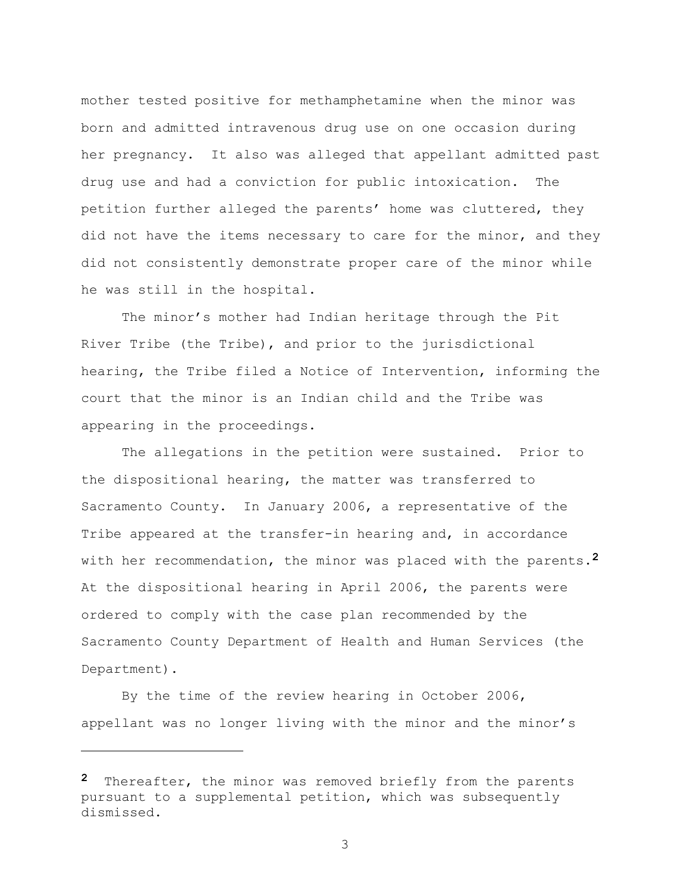mother tested positive for methamphetamine when the minor was born and admitted intravenous drug use on one occasion during her pregnancy. It also was alleged that appellant admitted past drug use and had a conviction for public intoxication. The petition further alleged the parents" home was cluttered, they did not have the items necessary to care for the minor, and they did not consistently demonstrate proper care of the minor while he was still in the hospital.

The minor's mother had Indian heritage through the Pit River Tribe (the Tribe), and prior to the jurisdictional hearing, the Tribe filed a Notice of Intervention, informing the court that the minor is an Indian child and the Tribe was appearing in the proceedings.

The allegations in the petition were sustained. Prior to the dispositional hearing, the matter was transferred to Sacramento County. In January 2006, a representative of the Tribe appeared at the transfer-in hearing and, in accordance with her recommendation, the minor was placed with the parents.**2** At the dispositional hearing in April 2006, the parents were ordered to comply with the case plan recommended by the Sacramento County Department of Health and Human Services (the Department).

By the time of the review hearing in October 2006, appellant was no longer living with the minor and the minor's

i<br>L

**<sup>2</sup>** Thereafter, the minor was removed briefly from the parents pursuant to a supplemental petition, which was subsequently dismissed.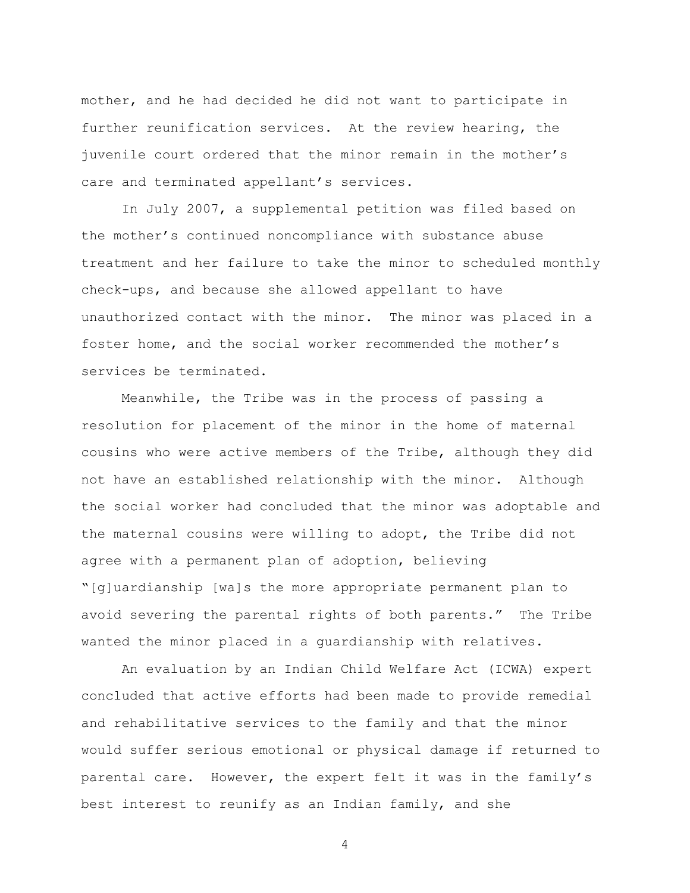mother, and he had decided he did not want to participate in further reunification services. At the review hearing, the juvenile court ordered that the minor remain in the mother"s care and terminated appellant's services.

In July 2007, a supplemental petition was filed based on the mother"s continued noncompliance with substance abuse treatment and her failure to take the minor to scheduled monthly check-ups, and because she allowed appellant to have unauthorized contact with the minor. The minor was placed in a foster home, and the social worker recommended the mother"s services be terminated.

Meanwhile, the Tribe was in the process of passing a resolution for placement of the minor in the home of maternal cousins who were active members of the Tribe, although they did not have an established relationship with the minor. Although the social worker had concluded that the minor was adoptable and the maternal cousins were willing to adopt, the Tribe did not agree with a permanent plan of adoption, believing "[g]uardianship [wa]s the more appropriate permanent plan to avoid severing the parental rights of both parents." The Tribe wanted the minor placed in a guardianship with relatives.

An evaluation by an Indian Child Welfare Act (ICWA) expert concluded that active efforts had been made to provide remedial and rehabilitative services to the family and that the minor would suffer serious emotional or physical damage if returned to parental care. However, the expert felt it was in the family"s best interest to reunify as an Indian family, and she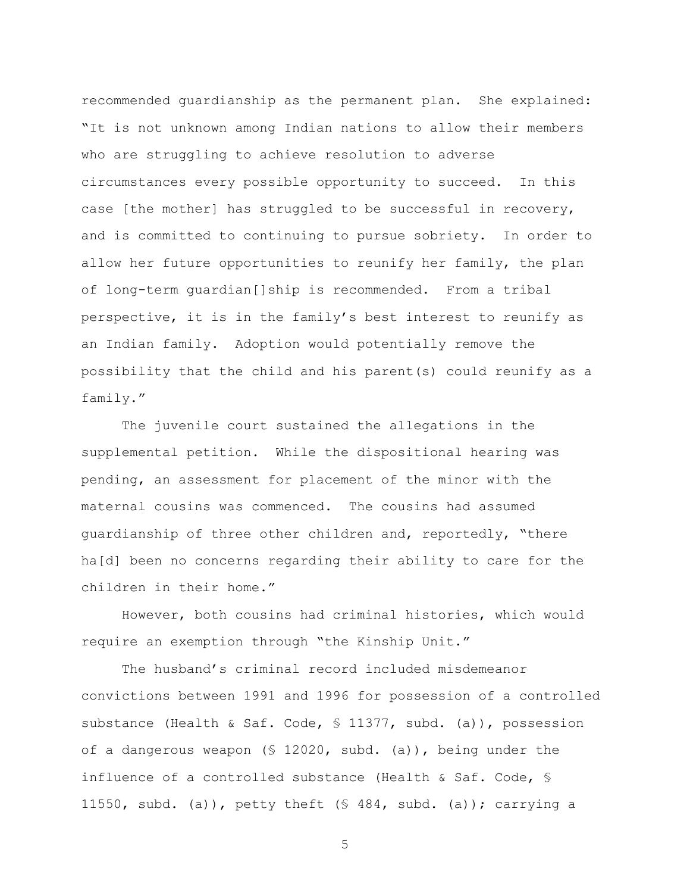recommended guardianship as the permanent plan. She explained: "It is not unknown among Indian nations to allow their members who are struggling to achieve resolution to adverse circumstances every possible opportunity to succeed. In this case [the mother] has struggled to be successful in recovery, and is committed to continuing to pursue sobriety. In order to allow her future opportunities to reunify her family, the plan of long-term guardian[]ship is recommended. From a tribal perspective, it is in the family"s best interest to reunify as an Indian family. Adoption would potentially remove the possibility that the child and his parent(s) could reunify as a family."

The juvenile court sustained the allegations in the supplemental petition. While the dispositional hearing was pending, an assessment for placement of the minor with the maternal cousins was commenced. The cousins had assumed guardianship of three other children and, reportedly, "there ha[d] been no concerns regarding their ability to care for the children in their home."

However, both cousins had criminal histories, which would require an exemption through "the Kinship Unit."

The husband"s criminal record included misdemeanor convictions between 1991 and 1996 for possession of a controlled substance (Health & Saf. Code, § 11377, subd. (a)), possession of a dangerous weapon (§ 12020, subd. (a)), being under the influence of a controlled substance (Health & Saf. Code, § 11550, subd. (a)), petty theft (§ 484, subd. (a)); carrying a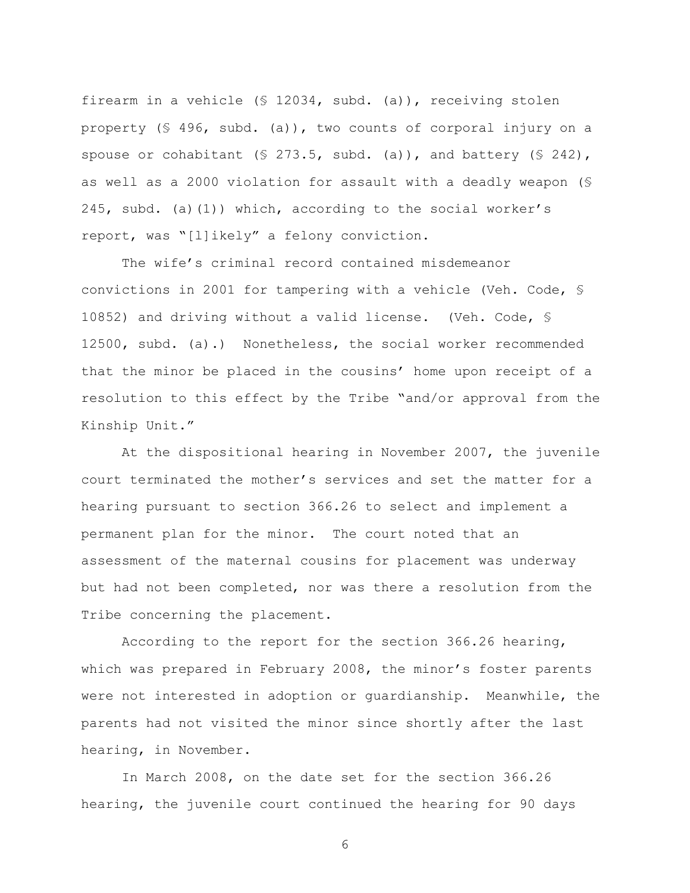firearm in a vehicle (§ 12034, subd. (a)), receiving stolen property (§ 496, subd. (a)), two counts of corporal injury on a spouse or cohabitant (§ 273.5, subd. (a)), and battery (§ 242), as well as a 2000 violation for assault with a deadly weapon (§ 245, subd. (a)(1)) which, according to the social worker"s report, was "[l]ikely" a felony conviction.

The wife's criminal record contained misdemeanor convictions in 2001 for tampering with a vehicle (Veh. Code, § 10852) and driving without a valid license. (Veh. Code, § 12500, subd. (a).) Nonetheless, the social worker recommended that the minor be placed in the cousins' home upon receipt of a resolution to this effect by the Tribe "and/or approval from the Kinship Unit."

At the dispositional hearing in November 2007, the juvenile court terminated the mother"s services and set the matter for a hearing pursuant to section 366.26 to select and implement a permanent plan for the minor. The court noted that an assessment of the maternal cousins for placement was underway but had not been completed, nor was there a resolution from the Tribe concerning the placement.

According to the report for the section 366.26 hearing, which was prepared in February 2008, the minor's foster parents were not interested in adoption or guardianship. Meanwhile, the parents had not visited the minor since shortly after the last hearing, in November.

In March 2008, on the date set for the section 366.26 hearing, the juvenile court continued the hearing for 90 days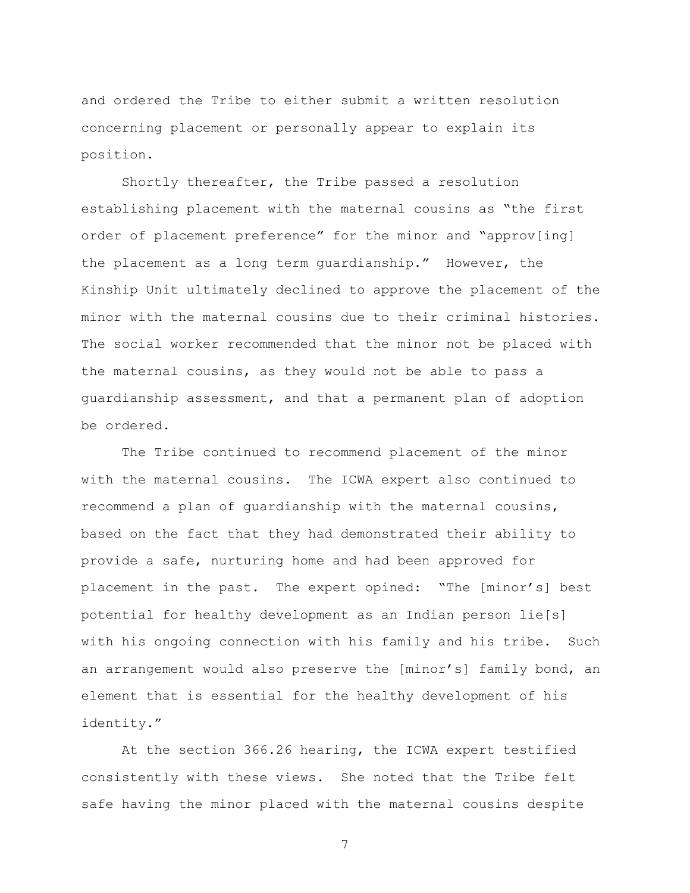and ordered the Tribe to either submit a written resolution concerning placement or personally appear to explain its position.

Shortly thereafter, the Tribe passed a resolution establishing placement with the maternal cousins as "the first order of placement preference" for the minor and "approv[ing] the placement as a long term guardianship." However, the Kinship Unit ultimately declined to approve the placement of the minor with the maternal cousins due to their criminal histories. The social worker recommended that the minor not be placed with the maternal cousins, as they would not be able to pass a guardianship assessment, and that a permanent plan of adoption be ordered.

The Tribe continued to recommend placement of the minor with the maternal cousins. The ICWA expert also continued to recommend a plan of guardianship with the maternal cousins, based on the fact that they had demonstrated their ability to provide a safe, nurturing home and had been approved for placement in the past. The expert opined: "The [minor's] best potential for healthy development as an Indian person lie[s] with his ongoing connection with his family and his tribe. Such an arrangement would also preserve the [minor's] family bond, an element that is essential for the healthy development of his identity."

At the section 366.26 hearing, the ICWA expert testified consistently with these views. She noted that the Tribe felt safe having the minor placed with the maternal cousins despite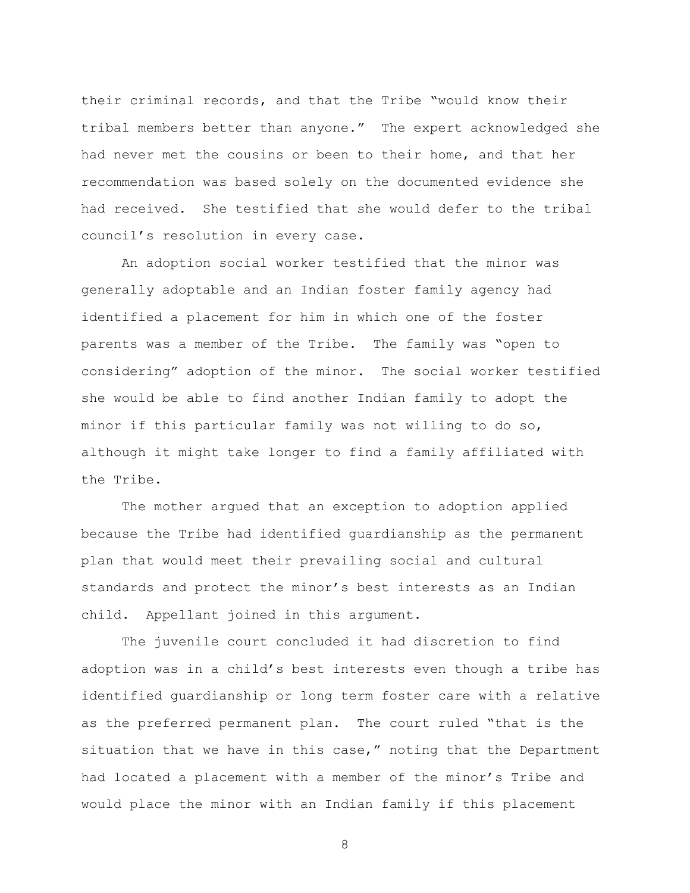their criminal records, and that the Tribe "would know their tribal members better than anyone." The expert acknowledged she had never met the cousins or been to their home, and that her recommendation was based solely on the documented evidence she had received. She testified that she would defer to the tribal council's resolution in every case.

An adoption social worker testified that the minor was generally adoptable and an Indian foster family agency had identified a placement for him in which one of the foster parents was a member of the Tribe. The family was "open to considering" adoption of the minor. The social worker testified she would be able to find another Indian family to adopt the minor if this particular family was not willing to do so, although it might take longer to find a family affiliated with the Tribe.

The mother argued that an exception to adoption applied because the Tribe had identified guardianship as the permanent plan that would meet their prevailing social and cultural standards and protect the minor's best interests as an Indian child. Appellant joined in this argument.

The juvenile court concluded it had discretion to find adoption was in a child"s best interests even though a tribe has identified guardianship or long term foster care with a relative as the preferred permanent plan. The court ruled "that is the situation that we have in this case," noting that the Department had located a placement with a member of the minor's Tribe and would place the minor with an Indian family if this placement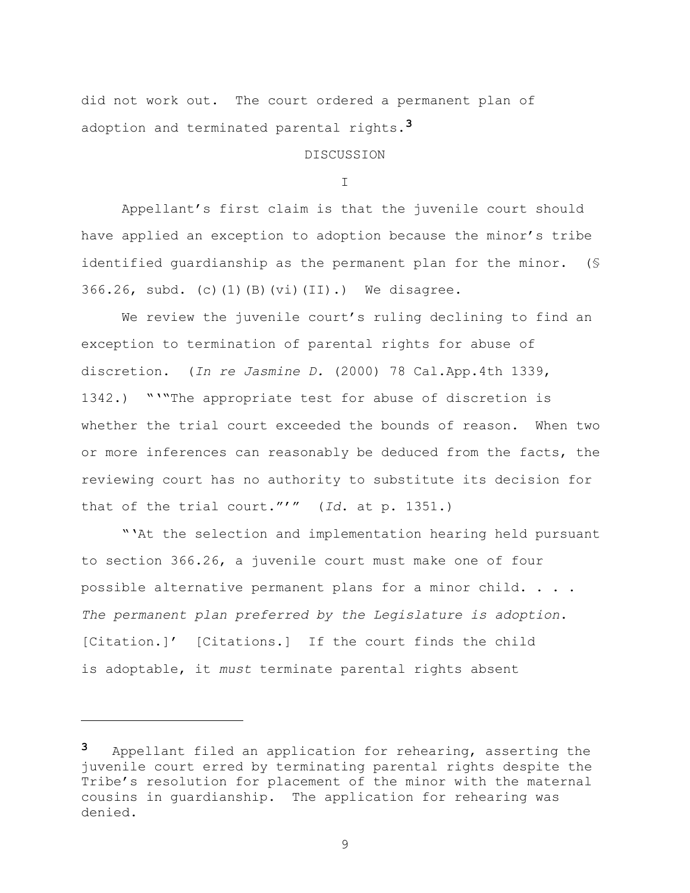did not work out. The court ordered a permanent plan of adoption and terminated parental rights.**3**

DISCUSSION

I

Appellant"s first claim is that the juvenile court should have applied an exception to adoption because the minor's tribe identified guardianship as the permanent plan for the minor. (§ 366.26, subd. (c)(1)(B)(vi)(II).) We disagree.

We review the juvenile court's ruling declining to find an exception to termination of parental rights for abuse of discretion. (*In re Jasmine D.* (2000) 78 Cal.App.4th 1339, 1342.) """The appropriate test for abuse of discretion is whether the trial court exceeded the bounds of reason. When two or more inferences can reasonably be deduced from the facts, the reviewing court has no authority to substitute its decision for that of the trial court.""" (*Id*. at p. 1351.)

""At the selection and implementation hearing held pursuant to section 366.26, a juvenile court must make one of four possible alternative permanent plans for a minor child. . . . *The permanent plan preferred by the Legislature is adoption*. [Citation.]" [Citations.] If the court finds the child is adoptable, it *must* terminate parental rights absent

i<br>L

**<sup>3</sup>** Appellant filed an application for rehearing, asserting the juvenile court erred by terminating parental rights despite the Tribe's resolution for placement of the minor with the maternal cousins in guardianship. The application for rehearing was denied.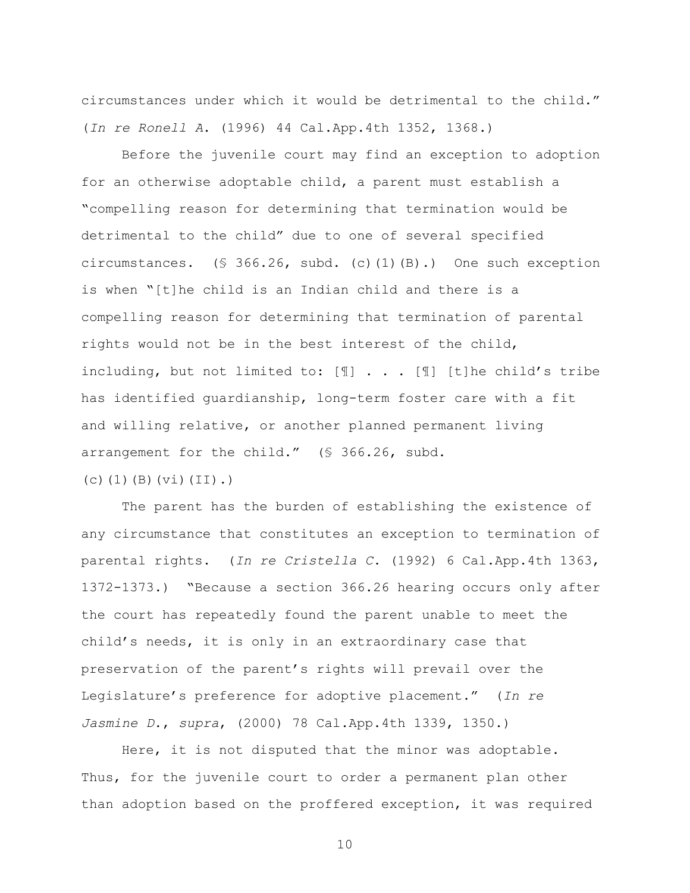circumstances under which it would be detrimental to the child." (*In re Ronell A*. (1996) 44 Cal.App.4th 1352, 1368.)

Before the juvenile court may find an exception to adoption for an otherwise adoptable child, a parent must establish a "compelling reason for determining that termination would be detrimental to the child" due to one of several specified circumstances. (§ 366.26, subd. (c)(1)(B).) One such exception is when "[t]he child is an Indian child and there is a compelling reason for determining that termination of parental rights would not be in the best interest of the child, including, but not limited to: [¶] . . . [¶] [t]he child"s tribe has identified guardianship, long-term foster care with a fit and willing relative, or another planned permanent living arrangement for the child." (§ 366.26, subd. (c)(1)(B)(vi)(II).)

The parent has the burden of establishing the existence of any circumstance that constitutes an exception to termination of parental rights. (*In re Cristella C*. (1992) 6 Cal.App.4th 1363, 1372-1373.) "Because a section 366.26 hearing occurs only after the court has repeatedly found the parent unable to meet the child"s needs, it is only in an extraordinary case that preservation of the parent's rights will prevail over the Legislature"s preference for adoptive placement." (*In re Jasmine D*., *supra*, (2000) 78 Cal.App.4th 1339, 1350.)

Here, it is not disputed that the minor was adoptable. Thus, for the juvenile court to order a permanent plan other than adoption based on the proffered exception, it was required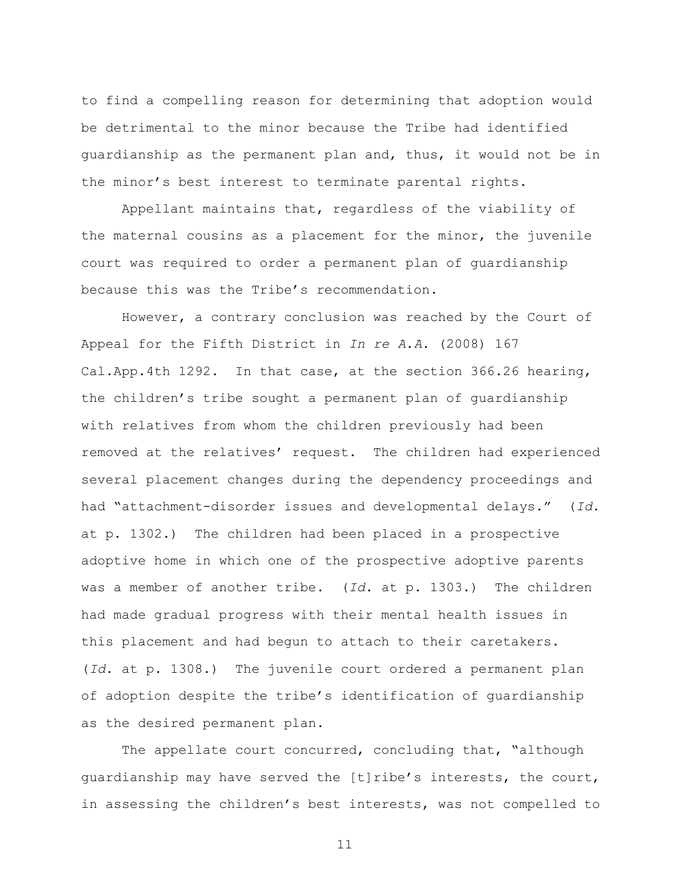to find a compelling reason for determining that adoption would be detrimental to the minor because the Tribe had identified guardianship as the permanent plan and, thus, it would not be in the minor"s best interest to terminate parental rights.

Appellant maintains that, regardless of the viability of the maternal cousins as a placement for the minor, the juvenile court was required to order a permanent plan of guardianship because this was the Tribe's recommendation.

However, a contrary conclusion was reached by the Court of Appeal for the Fifth District in *In re A.A.* (2008) 167 Cal.App.4th 1292. In that case, at the section 366.26 hearing, the children"s tribe sought a permanent plan of guardianship with relatives from whom the children previously had been removed at the relatives" request. The children had experienced several placement changes during the dependency proceedings and had "attachment-disorder issues and developmental delays." (*Id*. at p. 1302.) The children had been placed in a prospective adoptive home in which one of the prospective adoptive parents was a member of another tribe. (*Id*. at p. 1303.) The children had made gradual progress with their mental health issues in this placement and had begun to attach to their caretakers. (*Id*. at p. 1308.) The juvenile court ordered a permanent plan of adoption despite the tribe"s identification of guardianship as the desired permanent plan.

The appellate court concurred, concluding that, "although guardianship may have served the [t]ribe"s interests, the court, in assessing the children"s best interests, was not compelled to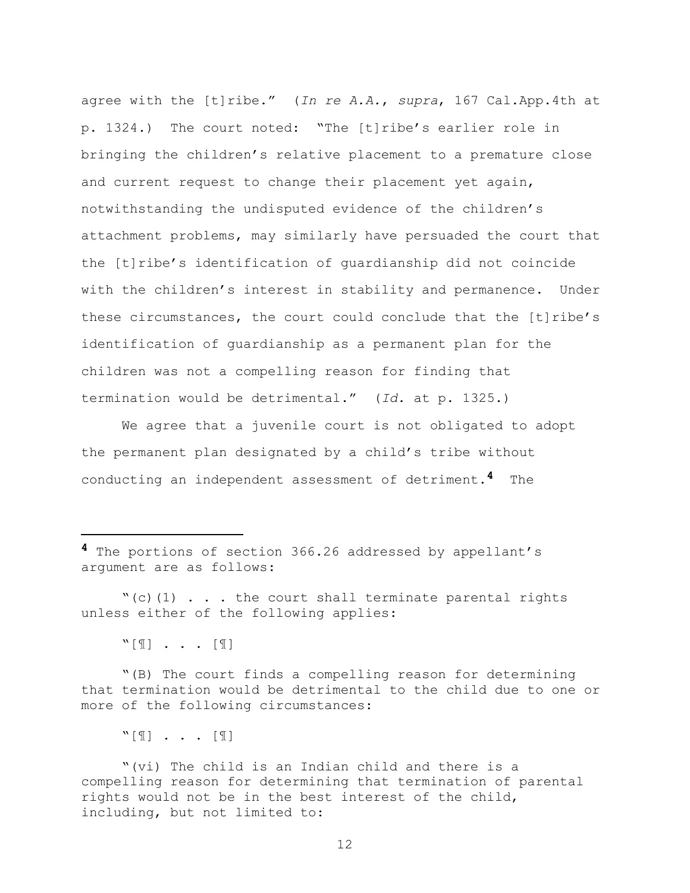agree with the [t]ribe." (*In re A.A.*, *supra*, 167 Cal.App.4th at p. 1324.) The court noted: "The [t]ribe"s earlier role in bringing the children"s relative placement to a premature close and current request to change their placement yet again, notwithstanding the undisputed evidence of the children"s attachment problems, may similarly have persuaded the court that the [t]ribe"s identification of guardianship did not coincide with the children's interest in stability and permanence. Under these circumstances, the court could conclude that the [t]ribe"s identification of guardianship as a permanent plan for the children was not a compelling reason for finding that termination would be detrimental." (*Id*. at p. 1325.)

We agree that a juvenile court is not obligated to adopt the permanent plan designated by a child"s tribe without conducting an independent assessment of detriment.**4** The

**4** The portions of section 366.26 addressed by appellant"s argument are as follows:

 $"$ (c)(1) . . . the court shall terminate parental rights unless either of the following applies:

"[¶] . . . [¶]

i<br>L

"(B) The court finds a compelling reason for determining that termination would be detrimental to the child due to one or more of the following circumstances:

 $\lbrack \mathbb{T} \rbrack$  . . .  $\lbrack \mathbb{T} \rbrack$ 

"(vi) The child is an Indian child and there is a compelling reason for determining that termination of parental rights would not be in the best interest of the child, including, but not limited to: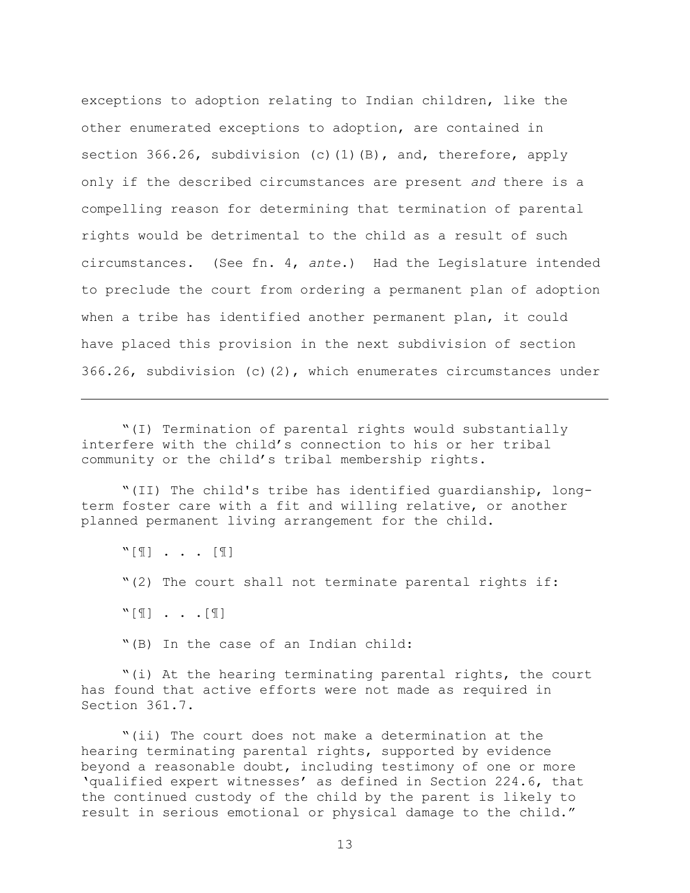exceptions to adoption relating to Indian children, like the other enumerated exceptions to adoption, are contained in section 366.26, subdivision (c)(1)(B), and, therefore, apply only if the described circumstances are present *and* there is a compelling reason for determining that termination of parental rights would be detrimental to the child as a result of such circumstances. (See fn. 4, *ante*.) Had the Legislature intended to preclude the court from ordering a permanent plan of adoption when a tribe has identified another permanent plan, it could have placed this provision in the next subdivision of section 366.26, subdivision (c)(2), which enumerates circumstances under

"(I) Termination of parental rights would substantially interfere with the child's connection to his or her tribal community or the child"s tribal membership rights.

"(II) The child's tribe has identified guardianship, longterm foster care with a fit and willing relative, or another planned permanent living arrangement for the child.

"[¶] . . . [¶]

i<br>L

"(2) The court shall not terminate parental rights if:

"[¶] . . .[¶]

"(B) In the case of an Indian child:

"(i) At the hearing terminating parental rights, the court has found that active efforts were not made as required in Section 361.7.

"(ii) The court does not make a determination at the hearing terminating parental rights, supported by evidence beyond a reasonable doubt, including testimony of one or more 'qualified expert witnesses' as defined in Section 224.6, that the continued custody of the child by the parent is likely to result in serious emotional or physical damage to the child."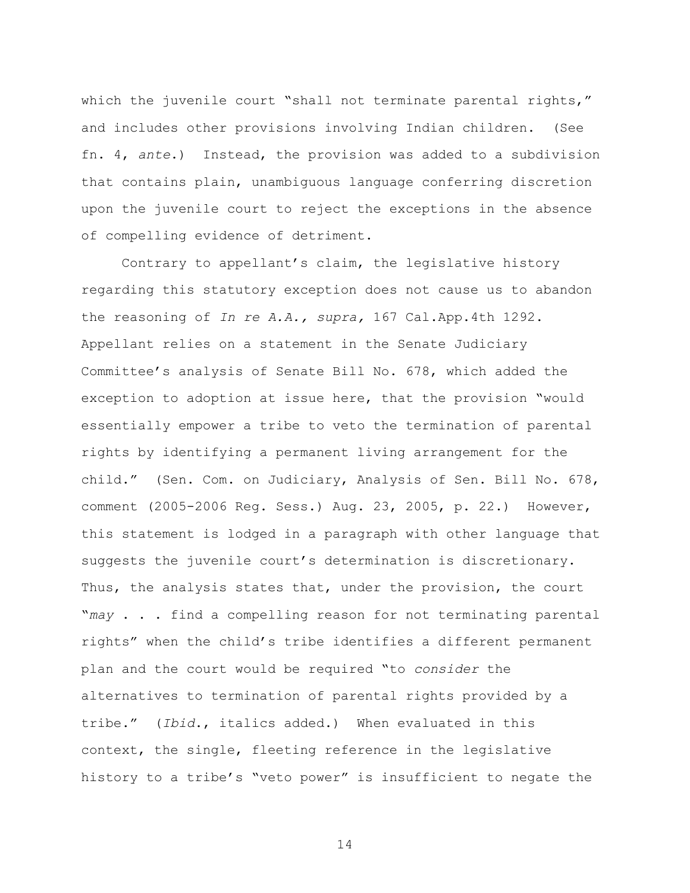which the juvenile court "shall not terminate parental rights," and includes other provisions involving Indian children. (See fn. 4, *ante*.) Instead, the provision was added to a subdivision that contains plain, unambiguous language conferring discretion upon the juvenile court to reject the exceptions in the absence of compelling evidence of detriment.

Contrary to appellant"s claim, the legislative history regarding this statutory exception does not cause us to abandon the reasoning of *In re A.A., supra,* 167 Cal.App.4th 1292. Appellant relies on a statement in the Senate Judiciary Committee"s analysis of Senate Bill No. 678, which added the exception to adoption at issue here, that the provision "would essentially empower a tribe to veto the termination of parental rights by identifying a permanent living arrangement for the child." (Sen. Com. on Judiciary, Analysis of Sen. Bill No. 678, comment (2005-2006 Reg. Sess.) Aug. 23, 2005, p. 22.) However, this statement is lodged in a paragraph with other language that suggests the juvenile court's determination is discretionary. Thus, the analysis states that, under the provision, the court "*may* . . . find a compelling reason for not terminating parental rights" when the child"s tribe identifies a different permanent plan and the court would be required "to *consider* the alternatives to termination of parental rights provided by a tribe." (*Ibid*., italics added.) When evaluated in this context, the single, fleeting reference in the legislative history to a tribe's "veto power" is insufficient to negate the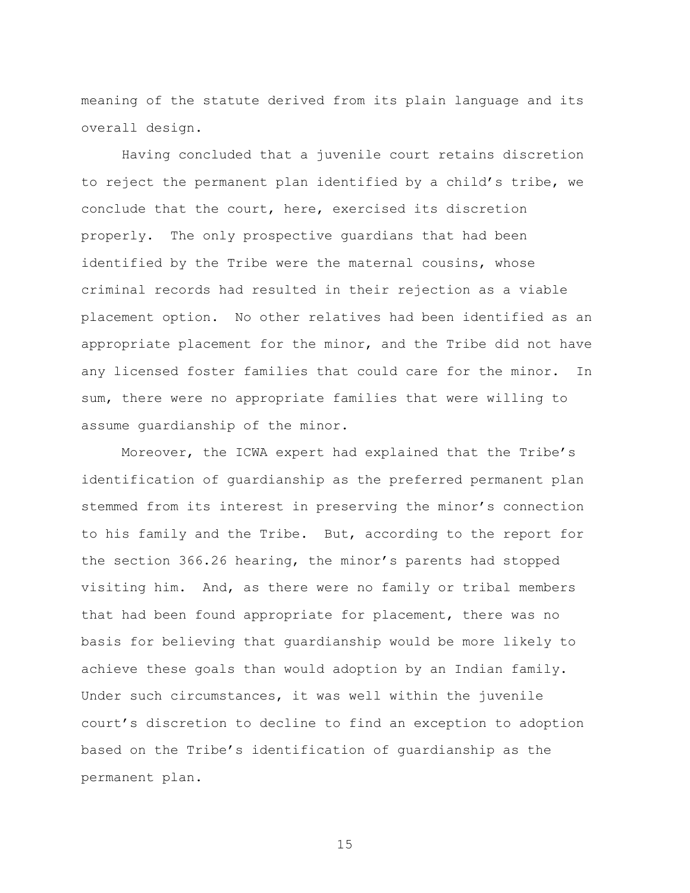meaning of the statute derived from its plain language and its overall design.

Having concluded that a juvenile court retains discretion to reject the permanent plan identified by a child"s tribe, we conclude that the court, here, exercised its discretion properly. The only prospective guardians that had been identified by the Tribe were the maternal cousins, whose criminal records had resulted in their rejection as a viable placement option. No other relatives had been identified as an appropriate placement for the minor, and the Tribe did not have any licensed foster families that could care for the minor. In sum, there were no appropriate families that were willing to assume guardianship of the minor.

Moreover, the ICWA expert had explained that the Tribe"s identification of guardianship as the preferred permanent plan stemmed from its interest in preserving the minor's connection to his family and the Tribe. But, according to the report for the section 366.26 hearing, the minor"s parents had stopped visiting him. And, as there were no family or tribal members that had been found appropriate for placement, there was no basis for believing that guardianship would be more likely to achieve these goals than would adoption by an Indian family. Under such circumstances, it was well within the juvenile court"s discretion to decline to find an exception to adoption based on the Tribe"s identification of guardianship as the permanent plan.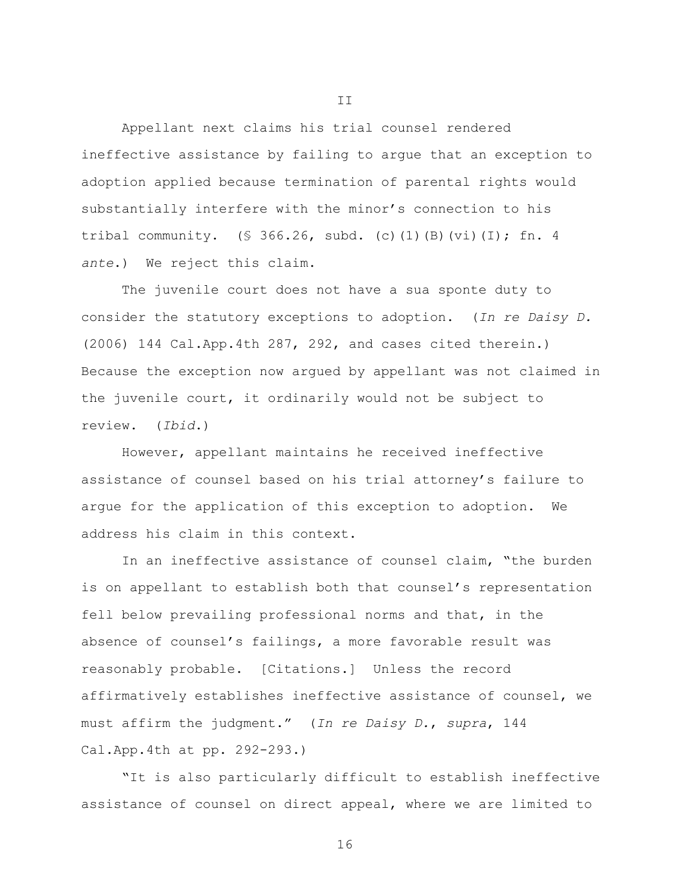Appellant next claims his trial counsel rendered ineffective assistance by failing to argue that an exception to adoption applied because termination of parental rights would substantially interfere with the minor's connection to his tribal community. (§ 366.26, subd. (c)(1)(B)(vi)(I); fn. 4 *ante*.) We reject this claim.

The juvenile court does not have a sua sponte duty to consider the statutory exceptions to adoption. (*In re Daisy D.* (2006) 144 Cal.App.4th 287, 292, and cases cited therein.) Because the exception now argued by appellant was not claimed in the juvenile court, it ordinarily would not be subject to review. (*Ibid*.)

However, appellant maintains he received ineffective assistance of counsel based on his trial attorney"s failure to argue for the application of this exception to adoption. We address his claim in this context.

In an ineffective assistance of counsel claim, "the burden is on appellant to establish both that counsel's representation fell below prevailing professional norms and that, in the absence of counsel's failings, a more favorable result was reasonably probable. [Citations.] Unless the record affirmatively establishes ineffective assistance of counsel, we must affirm the judgment." (*In re Daisy D.*, *supra*, 144 Cal.App.4th at pp. 292-293.)

"It is also particularly difficult to establish ineffective assistance of counsel on direct appeal, where we are limited to

II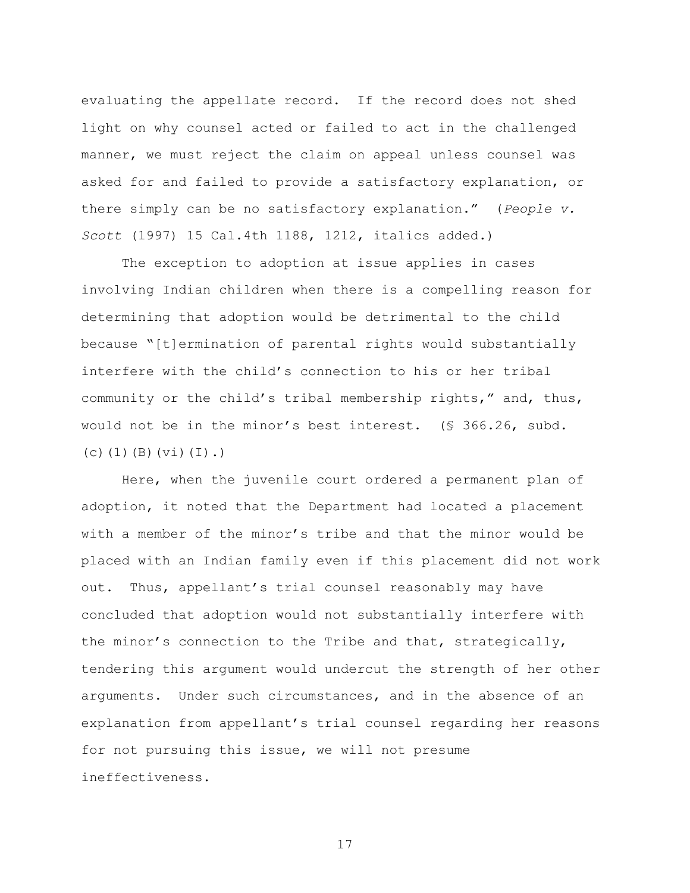evaluating the appellate record. If the record does not shed light on why counsel acted or failed to act in the challenged manner, we must reject the claim on appeal unless counsel was asked for and failed to provide a satisfactory explanation, or there simply can be no satisfactory explanation." (*People v. Scott* (1997) 15 Cal.4th 1188, 1212, italics added.)

The exception to adoption at issue applies in cases involving Indian children when there is a compelling reason for determining that adoption would be detrimental to the child because "[t]ermination of parental rights would substantially interfere with the child"s connection to his or her tribal community or the child"s tribal membership rights," and, thus, would not be in the minor"s best interest. (§ 366.26, subd. (c)(1)(B)(vi)(I).)

Here, when the juvenile court ordered a permanent plan of adoption, it noted that the Department had located a placement with a member of the minor"s tribe and that the minor would be placed with an Indian family even if this placement did not work out. Thus, appellant's trial counsel reasonably may have concluded that adoption would not substantially interfere with the minor"s connection to the Tribe and that, strategically, tendering this argument would undercut the strength of her other arguments. Under such circumstances, and in the absence of an explanation from appellant's trial counsel regarding her reasons for not pursuing this issue, we will not presume ineffectiveness.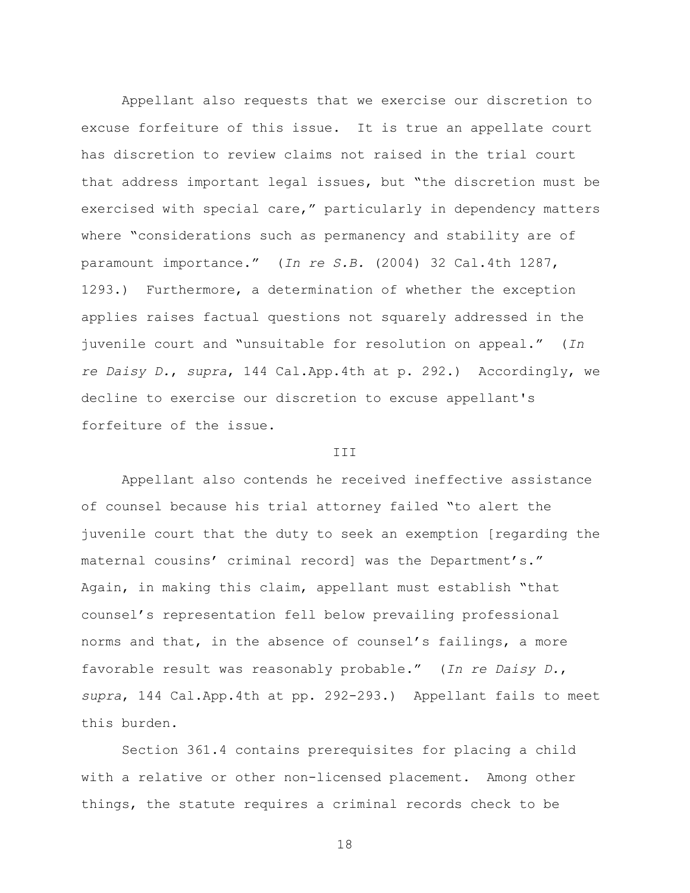Appellant also requests that we exercise our discretion to excuse forfeiture of this issue. It is true an appellate court has discretion to review claims not raised in the trial court that address important legal issues, but "the discretion must be exercised with special care," particularly in dependency matters where "considerations such as permanency and stability are of paramount importance." (*In re S.B.* (2004) 32 Cal.4th 1287, 1293.) Furthermore, a determination of whether the exception applies raises factual questions not squarely addressed in the juvenile court and "unsuitable for resolution on appeal." (*In re Daisy D.*, *supra*, 144 Cal.App.4th at p. 292.) Accordingly, we decline to exercise our discretion to excuse appellant's forfeiture of the issue.

## III

Appellant also contends he received ineffective assistance of counsel because his trial attorney failed "to alert the juvenile court that the duty to seek an exemption [regarding the maternal cousins' criminal record] was the Department's." Again, in making this claim, appellant must establish "that counsel"s representation fell below prevailing professional norms and that, in the absence of counsel's failings, a more favorable result was reasonably probable." (*In re Daisy D.*, *supra*, 144 Cal.App.4th at pp. 292-293.) Appellant fails to meet this burden.

Section 361.4 contains prerequisites for placing a child with a relative or other non-licensed placement. Among other things, the statute requires a criminal records check to be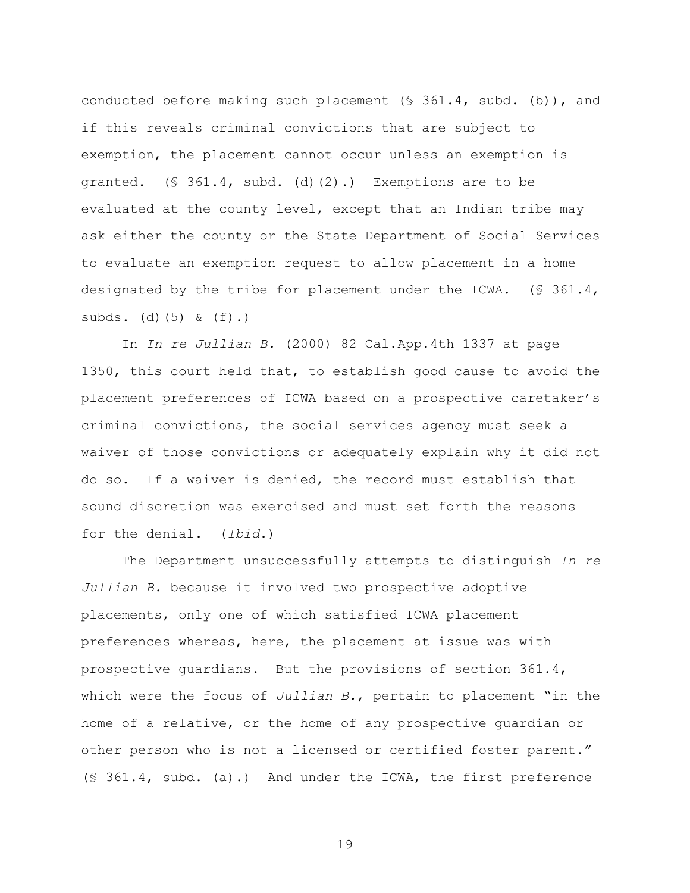conducted before making such placement (§ 361.4, subd. (b)), and if this reveals criminal convictions that are subject to exemption, the placement cannot occur unless an exemption is granted. (§ 361.4, subd. (d)(2).) Exemptions are to be evaluated at the county level, except that an Indian tribe may ask either the county or the State Department of Social Services to evaluate an exemption request to allow placement in a home designated by the tribe for placement under the ICWA. (§ 361.4, subds. (d) $(5)$  &  $(f)$ .)

In *In re Jullian B.* (2000) 82 Cal.App.4th 1337 at page 1350, this court held that, to establish good cause to avoid the placement preferences of ICWA based on a prospective caretaker"s criminal convictions, the social services agency must seek a waiver of those convictions or adequately explain why it did not do so. If a waiver is denied, the record must establish that sound discretion was exercised and must set forth the reasons for the denial. (*Ibid*.)

The Department unsuccessfully attempts to distinguish *In re Jullian B.* because it involved two prospective adoptive placements, only one of which satisfied ICWA placement preferences whereas, here, the placement at issue was with prospective guardians. But the provisions of section 361.4, which were the focus of *Jullian B.*, pertain to placement "in the home of a relative, or the home of any prospective guardian or other person who is not a licensed or certified foster parent." (§ 361.4, subd. (a).) And under the ICWA, the first preference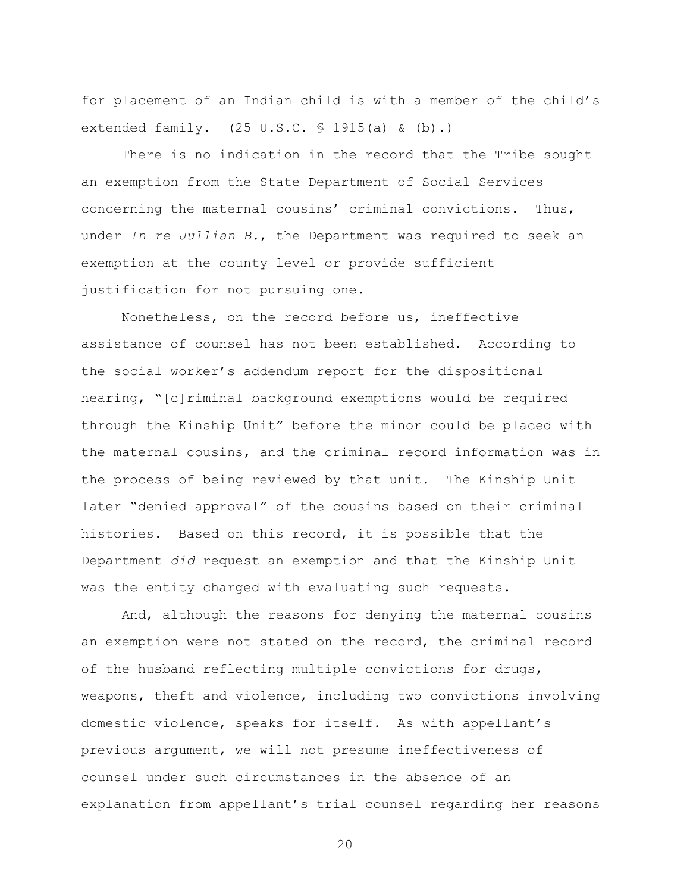for placement of an Indian child is with a member of the child"s extended family. (25 U.S.C. § 1915(a) & (b).)

There is no indication in the record that the Tribe sought an exemption from the State Department of Social Services concerning the maternal cousins' criminal convictions. Thus, under *In re Jullian B.*, the Department was required to seek an exemption at the county level or provide sufficient justification for not pursuing one.

Nonetheless, on the record before us, ineffective assistance of counsel has not been established. According to the social worker"s addendum report for the dispositional hearing, "[c]riminal background exemptions would be required through the Kinship Unit" before the minor could be placed with the maternal cousins, and the criminal record information was in the process of being reviewed by that unit. The Kinship Unit later "denied approval" of the cousins based on their criminal histories. Based on this record, it is possible that the Department *did* request an exemption and that the Kinship Unit was the entity charged with evaluating such requests.

And, although the reasons for denying the maternal cousins an exemption were not stated on the record, the criminal record of the husband reflecting multiple convictions for drugs, weapons, theft and violence, including two convictions involving domestic violence, speaks for itself. As with appellant"s previous argument, we will not presume ineffectiveness of counsel under such circumstances in the absence of an explanation from appellant's trial counsel regarding her reasons